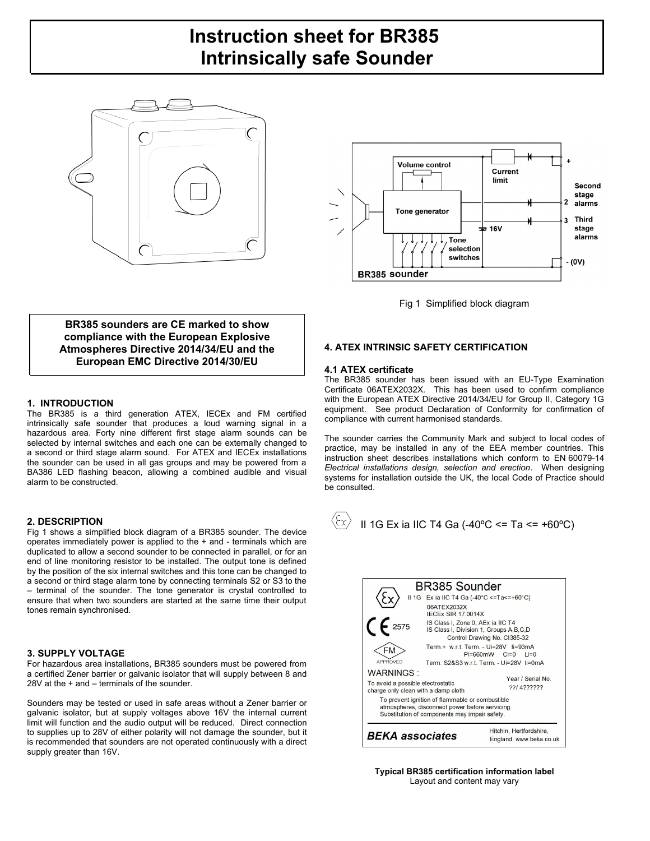# **Instruction sheet for BR385 Intrinsically safe Sounder**







**BR385 sounders are CE marked to show compliance with the European Explosive Atmospheres Directive 2014/34/EU and the European EMC Directive 2014/30/EU**

# **1. INTRODUCTION**

The BR385 is a third generation ATEX, IECEx and FM certified intrinsically safe sounder that produces a loud warning signal in a hazardous area. Forty nine different first stage alarm sounds can be selected by internal switches and each one can be externally changed to a second or third stage alarm sound. For ATEX and IECEx installations the sounder can be used in all gas groups and may be powered from a BA386 LED flashing beacon, allowing a combined audible and visual alarm to be constructed.

# **2. DESCRIPTION**

Fig 1 shows a simplified block diagram of a BR385 sounder. The device operates immediately power is applied to the + and - terminals which are duplicated to allow a second sounder to be connected in parallel, or for an end of line monitoring resistor to be installed. The output tone is defined by the position of the six internal switches and this tone can be changed to a second or third stage alarm tone by connecting terminals S2 or S3 to the – terminal of the sounder. The tone generator is crystal controlled to ensure that when two sounders are started at the same time their output tones remain synchronised.

# **3. SUPPLY VOLTAGE**

For hazardous area installations, BR385 sounders must be powered from a certified Zener barrier or galvanic isolator that will supply between 8 and 28V at the + and – terminals of the sounder.

Sounders may be tested or used in safe areas without a Zener barrier or galvanic isolator, but at supply voltages above 16V the internal current limit will function and the audio output will be reduced. Direct connection to supplies up to 28V of either polarity will not damage the sounder, but it is recommended that sounders are not operated continuously with a direct supply greater than 16V.

# **4. ATEX INTRINSIC SAFETY CERTIFICATION**

# **4.1 ATEX certificate**

The BR385 sounder has been issued with an EU-Type Examination Certificate 06ATEX2032X. This has been used to confirm compliance with the European ATEX Directive 2014/34/EU for Group II, Category 1G equipment. See product Declaration of Conformity for confirmation of compliance with current harmonised standards.

The sounder carries the Community Mark and subject to local codes of practice, may be installed in any of the EEA member countries. This instruction sheet describes installations which conform to EN 60079-14 *Electrical installations design, selection and erection*. When designing systems for installation outside the UK, the local Code of Practice should be consulted.



| <b>BR385 Sounder</b><br>II 1G Ex ia IIC T4 Ga (-40°C <=Ta<=+60°C)<br>06ATEX2032X<br><b>IFCFx SIR 17 0014X</b><br>$\zeta$ $\zeta$ 2575<br>IS Class I, Zone 0, AEx ia IIC T4<br>IS Class I, Division 1, Groups A, B, C, D<br>Control Drawing No. Cl385-32                         |  |                                                                                                                  |
|---------------------------------------------------------------------------------------------------------------------------------------------------------------------------------------------------------------------------------------------------------------------------------|--|------------------------------------------------------------------------------------------------------------------|
| APPROVED                                                                                                                                                                                                                                                                        |  | Term.+ w.r.t. Term. - Ui=28V li=93mA<br>$Pi=660mW$ $Ci=0$<br>$i = 0$<br>Term. S2&S3 w.r.t. Term. - Ui=28V li=0mA |
| WARNINGS ·<br>Year / Serial No<br>To avoid a possible electrostatic<br>22/4222222<br>charge only clean with a damp cloth<br>To prevent ignition of flammable or combustible<br>atmospheres, disconnect power before servicing.<br>Substitution of components may impair safety. |  |                                                                                                                  |
| Hitchin, Hertfordshire,<br><b>BEKA</b> associates<br>England. www.beka.co.uk                                                                                                                                                                                                    |  |                                                                                                                  |

**Typical BR385 certification information label** Layout and content may vary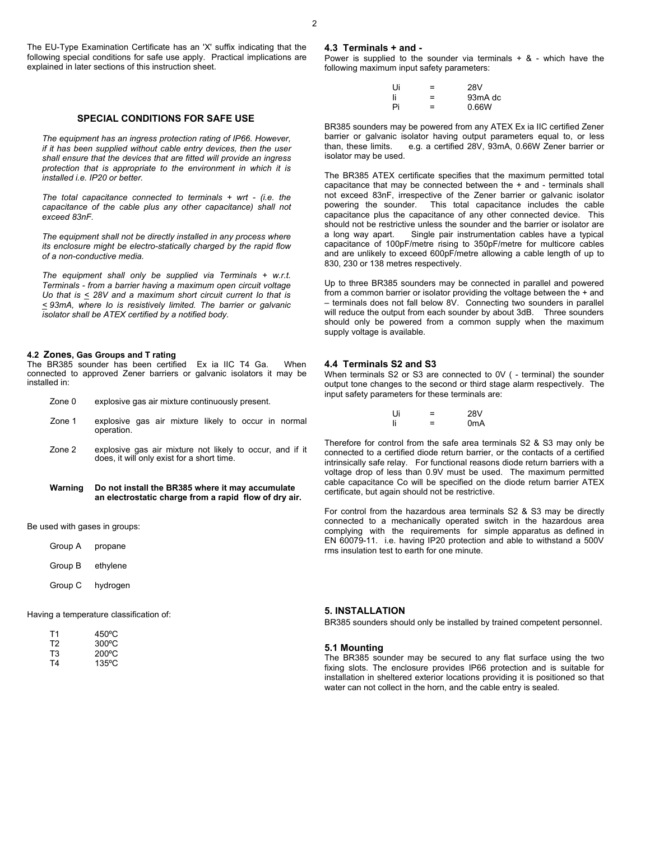The EU-Type Examination Certificate has an 'X' suffix indicating that the following special conditions for safe use apply. Practical implications are explained in later sections of this instruction sheet.

# **SPECIAL CONDITIONS FOR SAFE USE**

*The equipment has an ingress protection rating of IP66. However, if it has been supplied without cable entry devices, then the user shall ensure that the devices that are fitted will provide an ingress protection that is appropriate to the environment in which it is installed i.e. IP20 or better.* 

*The total capacitance connected to terminals + wrt - (i.e. the capacitance of the cable plus any other capacitance) shall not exceed 83nF.*

*The equipment shall not be directly installed in any process where its enclosure might be electro-statically charged by the rapid flow of a non-conductive media.*

*The equipment shall only be supplied via Terminals + w.r.t. Terminals - from a barrier having a maximum open circuit voltage Uo that is < 28V and a maximum short circuit current Io that is < 93mA, where Io is resistively limited. The barrier or galvanic isolator shall be ATEX certified by a notified body.*

#### **4.2 Zones, Gas Groups and T rating**

The BR385 sounder has been certified Ex ia IIC T4 Ga. When connected to approved Zener barriers or galvanic isolators it may be installed in:

| Zone 0 | explosive gas air mixture continuously present. |  |
|--------|-------------------------------------------------|--|
|        |                                                 |  |

- Zone 1 explosive gas air mixture likely to occur in normal operation.
- Zone 2 explosive gas air mixture not likely to occur, and if it does, it will only exist for a short time.

#### **Warning Do not install the BR385 where it may accumulate an electrostatic charge from a rapid flow of dry air.**

Be used with gases in groups:

| Group A | propane  |
|---------|----------|
| Group B | ethylene |
| Group C | hydrogen |

Having a temperature classification of:

| Τ1 | $450^{\circ}$ C |
|----|-----------------|
| T2 | $300^{\circ}$ C |
| T3 | $200^{\circ}$ C |
| T4 | $135^{\circ}$ C |

#### **4.3 Terminals + and -**

Power is supplied to the sounder via terminals  $+ 8 -$  which have the following maximum input safety parameters:

| Ui | = | 28V     |
|----|---|---------|
| li | = | 93mA dc |
| Pi | = | 0.66W   |

BR385 sounders may be powered from any ATEX Ex ia IIC certified Zener barrier or galvanic isolator having output parameters equal to, or less e.g. a certified 28V, 93mA, 0.66W Zener barrier or isolator may be used.

The BR385 ATEX certificate specifies that the maximum permitted total capacitance that may be connected between the + and - terminals shall not exceed 83nF, irrespective of the Zener barrier or galvanic isolator powering the sounder. This total capacitance includes the cable capacitance plus the capacitance of any other connected device. This should not be restrictive unless the sounder and the barrier or isolator are a long way apart. Single pair instrumentation cables have a typical capacitance of 100pF/metre rising to 350pF/metre for multicore cables and are unlikely to exceed 600pF/metre allowing a cable length of up to 830, 230 or 138 metres respectively.

Up to three BR385 sounders may be connected in parallel and powered from a common barrier or isolator providing the voltage between the + and – terminals does not fall below 8V. Connecting two sounders in parallel will reduce the output from each sounder by about 3dB. Three sounders should only be powered from a common supply when the maximum supply voltage is available.

#### **4.4 Terminals S2 and S3**

When terminals S2 or S3 are connected to 0V ( - terminal) the sounder output tone changes to the second or third stage alarm respectively. The input safety parameters for these terminals are:

| l Ji | -<br>- | 28V              |
|------|--------|------------------|
| li   | -      | 0 <sub>m</sub> A |

Therefore for control from the safe area terminals S2 & S3 may only be connected to a certified diode return barrier, or the contacts of a certified intrinsically safe relay. For functional reasons diode return barriers with a voltage drop of less than 0.9V must be used. The maximum permitted cable capacitance Co will be specified on the diode return barrier ATEX certificate, but again should not be restrictive.

For control from the hazardous area terminals S2 & S3 may be directly connected to a mechanically operated switch in the hazardous area complying with the requirements for simple apparatus as defined in EN 60079-11. i.e. having IP20 protection and able to withstand a 500V rms insulation test to earth for one minute.

#### **5. INSTALLATION**

BR385 sounders should only be installed by trained competent personnel.

#### **5.1 Mounting**

The BR385 sounder may be secured to any flat surface using the two fixing slots. The enclosure provides IP66 protection and is suitable for installation in sheltered exterior locations providing it is positioned so that water can not collect in the horn, and the cable entry is sealed.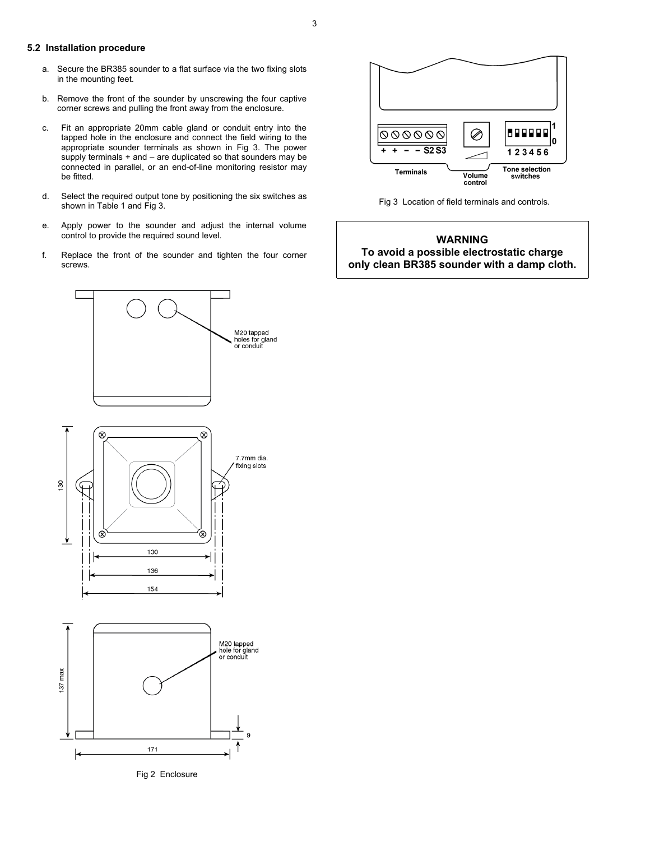# **5.2 Installation procedure**

- a. Secure the BR385 sounder to a flat surface via the two fixing slots in the mounting feet.
- b. Remove the front of the sounder by unscrewing the four captive corner screws and pulling the front away from the enclosure.
- c. Fit an appropriate 20mm cable gland or conduit entry into the tapped hole in the enclosure and connect the field wiring to the appropriate sounder terminals as shown in Fig 3. The power supply terminals + and – are duplicated so that sounders may be connected in parallel, or an end-of-line monitoring resistor may be fitted.
- d. Select the required output tone by positioning the six switches as shown in Table 1 and Fig 3.
- e. Apply power to the sounder and adjust the internal volume control to provide the required sound level.
- f. Replace the front of the sounder and tighten the four corner screws.



Fig 2 Enclosure



Fig 3 Location of field terminals and controls.

# **WARNING To avoid a possible electrostatic charge only clean BR385 sounder with a damp cloth.**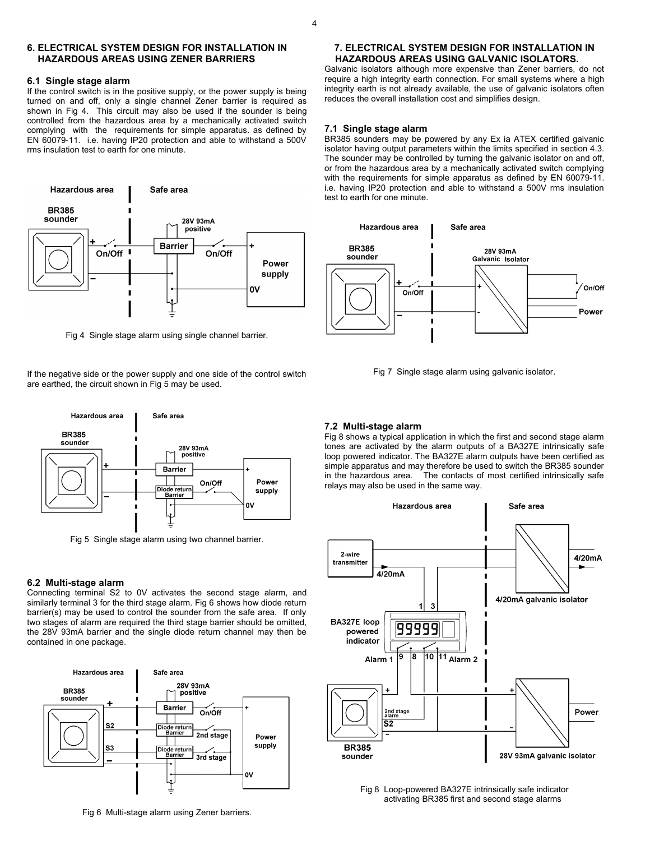# **6. ELECTRICAL SYSTEM DESIGN FOR INSTALLATION IN HAZARDOUS AREAS USING ZENER BARRIERS**

## **6.1 Single stage alarm**

If the control switch is in the positive supply, or the power supply is being turned on and off, only a single channel Zener barrier is required as shown in Fig 4. This circuit may also be used if the sounder is being controlled from the hazardous area by a mechanically activated switch complying with the requirements for simple apparatus. as defined by EN 60079-11. i.e. having IP20 protection and able to withstand a 500V rms insulation test to earth for one minute.



Fig 4 Single stage alarm using single channel barrier.

If the negative side or the power supply and one side of the control switch are earthed, the circuit shown in Fig 5 may be used.



Fig 5 Single stage alarm using two channel barrier.

#### **6.2 Multi-stage alarm**

Connecting terminal S2 to 0V activates the second stage alarm, and similarly terminal 3 for the third stage alarm. Fig 6 shows how diode return barrier(s) may be used to control the sounder from the safe area. If only two stages of alarm are required the third stage barrier should be omitted, the 28V 93mA barrier and the single diode return channel may then be contained in one package.



Fig 6 Multi-stage alarm using Zener barriers.

# **7. ELECTRICAL SYSTEM DESIGN FOR INSTALLATION IN HAZARDOUS AREAS USING GALVANIC ISOLATORS.**

Galvanic isolators although more expensive than Zener barriers, do not require a high integrity earth connection. For small systems where a high integrity earth is not already available, the use of galvanic isolators often reduces the overall installation cost and simplifies design.

# **7.1 Single stage alarm**

BR385 sounders may be powered by any Ex ia ATEX certified galvanic isolator having output parameters within the limits specified in section 4.3. The sounder may be controlled by turning the galvanic isolator on and off, or from the hazardous area by a mechanically activated switch complying with the requirements for simple apparatus as defined by EN 60079-11. i.e. having IP20 protection and able to withstand a 500V rms insulation test to earth for one minute.



Fig 7 Single stage alarm using galvanic isolator.

# **7.2 Multi-stage alarm**

Fig 8 shows a typical application in which the first and second stage alarm tones are activated by the alarm outputs of a BA327E intrinsically safe loop powered indicator. The BA327E alarm outputs have been certified as simple apparatus and may therefore be used to switch the BR385 sounder in the hazardous area. The contacts of most certified intrinsically safe relays may also be used in the same way.



Fig 8 Loop-powered BA327E intrinsically safe indicator activating BR385 first and second stage alarms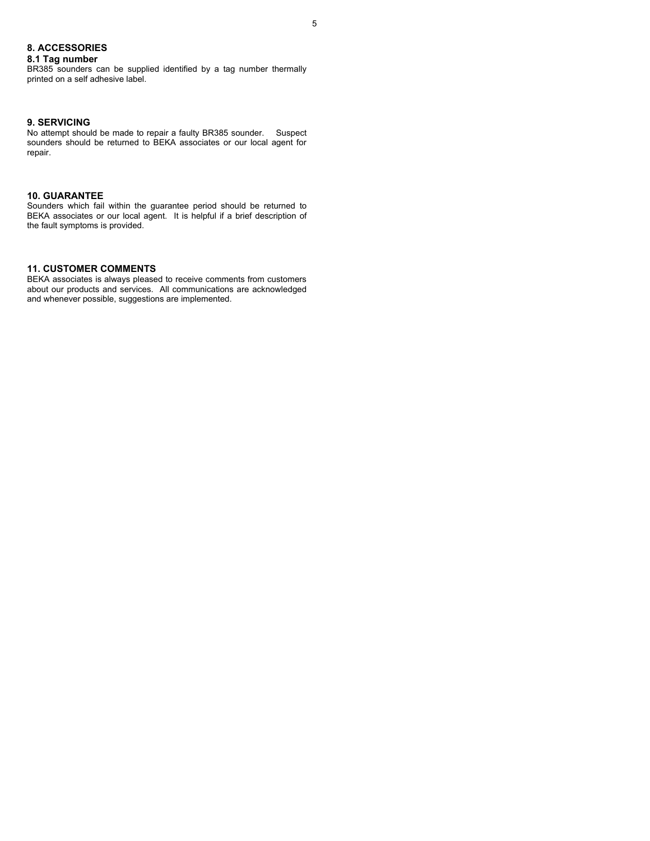# **8. ACCESSORIES**

# **8.1 Tag number**

BR385 sounders can be supplied identified by a tag number thermally printed on a self adhesive label.

# **9. SERVICING**

No attempt should be made to repair a faulty BR385 sounder. Suspect sounders should be returned to BEKA associates or our local agent for repair.

# **10. GUARANTEE**

Sounders which fail within the guarantee period should be returned to BEKA associates or our local agent. It is helpful if a brief description of the fault symptoms is provided.

# **11. CUSTOMER COMMENTS**

BEKA associates is always pleased to receive comments from customers about our products and services. All communications are acknowledged and whenever possible, suggestions are implemented.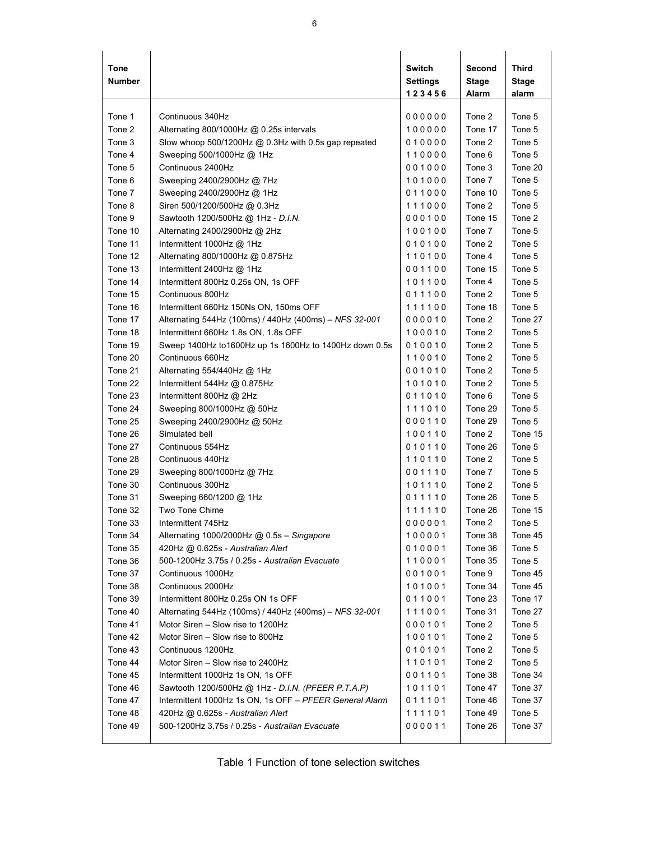| Tone<br><b>Number</b> |                                                         | Switch<br>Settings<br>123456 | Second<br><b>Stage</b><br>Alarm | Third<br>Stage<br>alarm |
|-----------------------|---------------------------------------------------------|------------------------------|---------------------------------|-------------------------|
| Tone 1                | Continuous 340Hz                                        | 000000                       | Tone 2                          | Tone 5                  |
| Tone 2                | Alternating 800/1000Hz @ 0.25s intervals                | 100000                       | Tone 17                         | Tone 5                  |
| Tone 3                | Slow whoop 500/1200Hz @ 0.3Hz with 0.5s gap repeated    | 010000                       | Tone 2                          | Tone 5                  |
| Tone 4                | Sweeping 500/1000Hz @ 1Hz                               | 110000                       | Tone 6                          | Tone 5                  |
| Tone 5                | Continuous 2400Hz                                       | 001000                       | Tone 3                          | Tone 20                 |
| Tone 6                | Sweeping 2400/2900Hz @ 7Hz                              | 101000                       | Tone 7                          | Tone 5                  |
| Tone 7                | Sweeping 2400/2900Hz @ 1Hz                              | 011000                       | Tone 10                         | Tone 5                  |
| Tone 8                | Siren 500/1200/500Hz @ 0.3Hz                            | 111000                       | Tone 2                          | Tone 5                  |
| Tone 9                | Sawtooth 1200/500Hz @ 1Hz - D.I.N.                      | 000100                       | Tone 15                         | Tone 2                  |
| Tone 10               | Alternating 2400/2900Hz @ 2Hz                           | 100100                       | Tone 7                          | Tone 5                  |
| Tone 11               | Intermittent 1000Hz @ 1Hz                               | 010100                       | Tone 2                          | Tone 5                  |
| Tone 12               | Alternating 800/1000Hz @ 0.875Hz                        | 110100                       | Tone 4                          | Tone 5                  |
| Tone 13               | Intermittent 2400Hz @ 1Hz                               | 001100                       | Tone 15                         | Tone 5                  |
| Tone 14               | Intermittent 800Hz 0.25s ON, 1s OFF                     | 101100                       | Tone 4                          | Tone 5                  |
| Tone 15               | Continuous 800Hz                                        | 011100                       | Tone 2                          | Tone 5                  |
| Tone 16               | Intermittent 660Hz 150Ns ON, 150ms OFF                  | 111100                       | Tone 18                         | Tone 5                  |
| Tone 17               | Alternating 544Hz (100ms) / 440Hz (400ms) - NFS 32-001  | 000010                       | Tone 2                          | Tone 27                 |
| Tone 18               | Intermittent 660Hz 1.8s ON, 1.8s OFF                    | 100010                       | Tone 2                          | Tone 5                  |
| Tone 19               | Sweep 1400Hz to1600Hz up 1s 1600Hz to 1400Hz down 0.5s  | 010010                       | Tone 2                          | Tone 5                  |
| Tone 20               | Continuous 660Hz                                        | 110010                       | Tone 2                          | Tone 5                  |
| Tone 21               | Alternating 554/440Hz @ 1Hz                             | 001010                       | Tone 2                          | Tone 5                  |
| Tone 22               | Intermittent 544Hz @ 0.875Hz                            | 101010                       | Tone 2                          | Tone 5                  |
| Tone 23               | Intermittent 800Hz @ 2Hz                                | 011010                       | Tone 6                          | Tone 5                  |
| Tone 24               | Sweeping 800/1000Hz @ 50Hz                              | 111010                       | Tone 29                         | Tone 5                  |
| Tone 25               | Sweeping 2400/2900Hz @ 50Hz                             | 000110                       | Tone 29                         | Tone 5                  |
| Tone 26               | Simulated bell                                          | 100110                       | Tone 2                          | Tone 15                 |
| Tone 27               | Continuous 554Hz                                        | 010110                       | Tone 26                         | Tone 5                  |
| Tone 28               | Continuous 440Hz                                        | 110110                       | Tone 2                          | Tone 5                  |
| Tone 29               | Sweeping 800/1000Hz @ 7Hz                               | 001110                       | Tone 7                          | Tone 5                  |
| Tone 30               | Continuous 300Hz                                        | 101110                       | Tone 2                          | Tone 5                  |
| Tone 31               | Sweeping 660/1200 @ 1Hz                                 | 011110                       | Tone 26                         | Tone 5                  |
| Tone 32               | Two Tone Chime                                          | 111110                       | Tone 26                         | Tone 15                 |
| Tone 33               | Intermittent 745Hz                                      | 000001                       | Tone 2                          | Tone 5                  |
| Tone 34               | Alternating 1000/2000Hz @ 0.5s - Singapore              | 100001                       | Tone 38                         | Tone 45                 |
| Tone 35               | 420Hz @ 0.625s - Australian Alert                       | 010001                       | Tone 36                         | Tone 5                  |
| Tone 36               | 500-1200Hz 3.75s / 0.25s - Australian Evacuate          | 110001                       | Tone 35                         | Tone 5                  |
| Tone 37               | Continuous 1000Hz                                       | 001001                       | Tone 9                          | Tone 45                 |
| Tone 38               | Continuous 2000Hz                                       | 101001                       | Tone 34                         | Tone 45                 |
| Tone 39               | Intermittent 800Hz 0.25s ON 1s OFF                      | 011001                       | Tone 23                         | Tone 17                 |
| Tone 40               | Alternating 544Hz (100ms) / 440Hz (400ms) - NFS 32-001  | 111001                       | Tone 31                         | Tone 27                 |
| Tone 41               | Motor Siren - Slow rise to 1200Hz                       | 000101                       | Tone 2                          | Tone 5                  |
| Tone 42               | Motor Siren - Slow rise to 800Hz                        | 100101                       | Tone 2                          | Tone 5                  |
| Tone 43               | Continuous 1200Hz                                       | 010101                       | Tone 2                          | Tone 5                  |
| Tone 44               | Motor Siren - Slow rise to 2400Hz                       | 110101                       | Tone 2                          | Tone 5                  |
| Tone 45               | Intermittent 1000Hz 1s ON, 1s OFF                       | 001101                       | Tone 38                         | Tone 34                 |
| Tone 46               | Sawtooth 1200/500Hz @ 1Hz - D.I.N. (PFEER P.T.A.P)      | 101101                       | Tone 47                         | Tone 37                 |
| Tone 47               | Intermittent 1000Hz 1s ON, 1s OFF - PFEER General Alarm | 011101                       | Tone 46                         | Tone 37                 |
| Tone 48               | 420Hz @ 0.625s - Australian Alert                       | 111101                       | Tone 49                         | Tone 5                  |
| Tone 49               | 500-1200Hz 3.75s / 0.25s - Australian Evacuate          | 000011                       | Tone 26                         | Tone 37                 |
|                       |                                                         |                              |                                 |                         |

Table 1 Function of tone selection switches